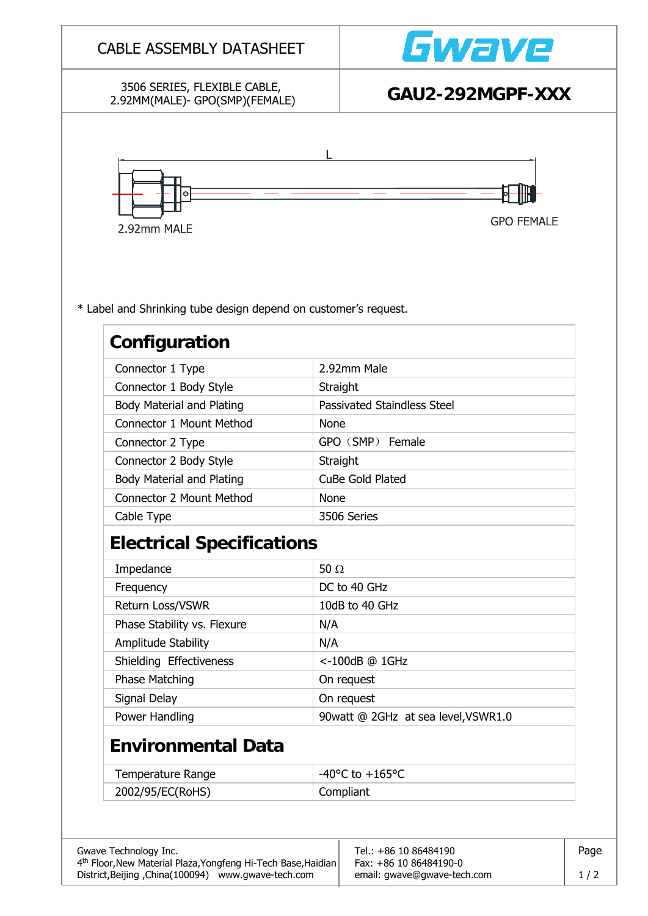| 3506 SERIES, FLEXIBLE CABLE,                                                     |                  | Gwave                               |  |  |
|----------------------------------------------------------------------------------|------------------|-------------------------------------|--|--|
| 2.92MM(MALE)- GPO(SMP)(FEMALE)                                                   |                  | GAU2-292MGPF-XXX                    |  |  |
| Θ<br>2.92mm MALE                                                                 |                  | <b>GPO FEMALE</b>                   |  |  |
| * Label and Shrinking tube design depend on customer's request.<br>Configuration |                  |                                     |  |  |
| Connector 1 Type                                                                 |                  | 2.92mm Male                         |  |  |
| Connector 1 Body Style                                                           | Straight         |                                     |  |  |
| <b>Body Material and Plating</b>                                                 |                  | Passivated Staindless Steel         |  |  |
| <b>Connector 1 Mount Method</b>                                                  | <b>None</b>      |                                     |  |  |
| Connector 2 Type                                                                 |                  | GPO (SMP) Female                    |  |  |
| Connector 2 Body Style                                                           | Straight         |                                     |  |  |
| Body Material and Plating                                                        | CuBe Gold Plated |                                     |  |  |
| <b>Connector 2 Mount Method</b>                                                  | <b>None</b>      |                                     |  |  |
| Cable Type                                                                       | 3506 Series      |                                     |  |  |
| <b>Electrical Specifications</b>                                                 |                  |                                     |  |  |
| Impedance                                                                        | 50 $\Omega$      |                                     |  |  |
| Frequency                                                                        |                  | DC to 40 GHz                        |  |  |
| Return Loss/VSWR                                                                 |                  | 10dB to 40 GHz                      |  |  |
| Phase Stability vs. Flexure                                                      | N/A              |                                     |  |  |
| Amplitude Stability                                                              | N/A              |                                     |  |  |
| Shielding Effectiveness                                                          | <-100dB @ 1GHz   |                                     |  |  |
| Phase Matching                                                                   |                  | On request                          |  |  |
| Signal Delay                                                                     | On request       |                                     |  |  |
| Power Handling                                                                   |                  | 90watt @ 2GHz at sea level, VSWR1.0 |  |  |
| <b>Environmental Data</b>                                                        |                  |                                     |  |  |
|                                                                                  |                  | $-40^{\circ}$ C to $+165^{\circ}$ C |  |  |
| <b>Temperature Range</b>                                                         |                  |                                     |  |  |
| 2002/95/EC(RoHS)                                                                 | Compliant        |                                     |  |  |